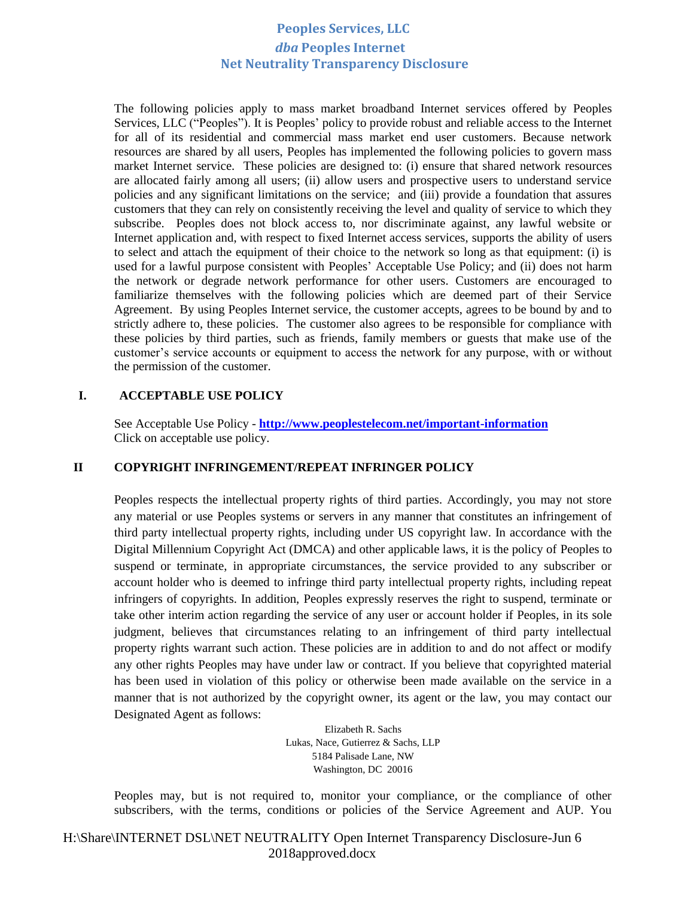The following policies apply to mass market broadband Internet services offered by Peoples Services, LLC ("Peoples"). It is Peoples' policy to provide robust and reliable access to the Internet for all of its residential and commercial mass market end user customers. Because network resources are shared by all users, Peoples has implemented the following policies to govern mass market Internet service. These policies are designed to: (i) ensure that shared network resources are allocated fairly among all users; (ii) allow users and prospective users to understand service policies and any significant limitations on the service; and (iii) provide a foundation that assures customers that they can rely on consistently receiving the level and quality of service to which they subscribe. Peoples does not block access to, nor discriminate against, any lawful website or Internet application and, with respect to fixed Internet access services, supports the ability of users to select and attach the equipment of their choice to the network so long as that equipment: (i) is used for a lawful purpose consistent with Peoples' Acceptable Use Policy; and (ii) does not harm the network or degrade network performance for other users. Customers are encouraged to familiarize themselves with the following policies which are deemed part of their Service Agreement. By using Peoples Internet service, the customer accepts, agrees to be bound by and to strictly adhere to, these policies. The customer also agrees to be responsible for compliance with these policies by third parties, such as friends, family members or guests that make use of the customer's service accounts or equipment to access the network for any purpose, with or without the permission of the customer.

### **I. ACCEPTABLE USE POLICY**

See Acceptable Use Policy - **<http://www.peoplestelecom.net/important-information>** Click on acceptable use policy.

### **II COPYRIGHT INFRINGEMENT/REPEAT INFRINGER POLICY**

Peoples respects the intellectual property rights of third parties. Accordingly, you may not store any material or use Peoples systems or servers in any manner that constitutes an infringement of third party intellectual property rights, including under US copyright law. In accordance with the Digital Millennium Copyright Act (DMCA) and other applicable laws, it is the policy of Peoples to suspend or terminate, in appropriate circumstances, the service provided to any subscriber or account holder who is deemed to infringe third party intellectual property rights, including repeat infringers of copyrights. In addition, Peoples expressly reserves the right to suspend, terminate or take other interim action regarding the service of any user or account holder if Peoples, in its sole judgment, believes that circumstances relating to an infringement of third party intellectual property rights warrant such action. These policies are in addition to and do not affect or modify any other rights Peoples may have under law or contract. If you believe that copyrighted material has been used in violation of this policy or otherwise been made available on the service in a manner that is not authorized by the copyright owner, its agent or the law, you may contact our Designated Agent as follows:

> Elizabeth R. Sachs Lukas, Nace, Gutierrez & Sachs, LLP 5184 Palisade Lane, NW Washington, DC 20016

Peoples may, but is not required to, monitor your compliance, or the compliance of other subscribers, with the terms, conditions or policies of the Service Agreement and AUP. You

H:\Share\INTERNET DSL\NET NEUTRALITY Open Internet Transparency Disclosure-Jun 6 2018approved.docx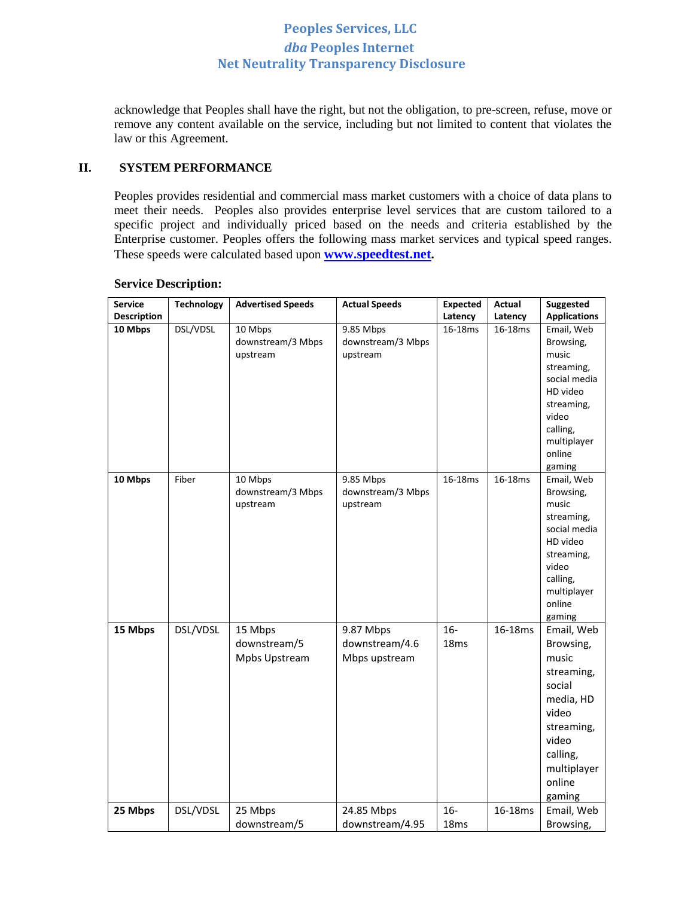acknowledge that Peoples shall have the right, but not the obligation, to pre-screen, refuse, move or remove any content available on the service, including but not limited to content that violates the law or this Agreement.

#### **II. SYSTEM PERFORMANCE**

Peoples provides residential and commercial mass market customers with a choice of data plans to meet their needs. Peoples also provides enterprise level services that are custom tailored to a specific project and individually priced based on the needs and criteria established by the Enterprise customer. Peoples offers the following mass market services and typical speed ranges. These speeds were calculated based upon **[www.speedtest.net](http://www.speedtest.net/).**

| <b>Service</b>     |            | <b>Advertised Speeds</b>                 |                                              |                           | Actual  |                                                                                                                                                      |
|--------------------|------------|------------------------------------------|----------------------------------------------|---------------------------|---------|------------------------------------------------------------------------------------------------------------------------------------------------------|
|                    | Technology |                                          | <b>Actual Speeds</b>                         | <b>Expected</b>           |         | Suggested                                                                                                                                            |
| <b>Description</b> |            |                                          |                                              | Latency                   | Latency | <b>Applications</b>                                                                                                                                  |
| 10 Mbps            | DSL/VDSL   | 10 Mbps<br>downstream/3 Mbps<br>upstream | 9.85 Mbps<br>downstream/3 Mbps<br>upstream   | 16-18ms                   | 16-18ms | Email, Web<br>Browsing,<br>music<br>streaming,<br>social media<br>HD video<br>streaming,<br>video<br>calling,<br>multiplayer<br>online<br>gaming     |
| 10 Mbps            | Fiber      | 10 Mbps<br>downstream/3 Mbps<br>upstream | 9.85 Mbps<br>downstream/3 Mbps<br>upstream   | 16-18ms                   | 16-18ms | Email, Web<br>Browsing,<br>music<br>streaming,<br>social media<br>HD video<br>streaming,<br>video<br>calling,<br>multiplayer<br>online<br>gaming     |
| 15 Mbps            | DSL/VDSL   | 15 Mbps<br>downstream/5<br>Mpbs Upstream | 9.87 Mbps<br>downstream/4.6<br>Mbps upstream | $16-$<br>18 <sub>ms</sub> | 16-18ms | Email, Web<br>Browsing,<br>music<br>streaming,<br>social<br>media, HD<br>video<br>streaming,<br>video<br>calling,<br>multiplayer<br>online<br>gaming |
| 25 Mbps            | DSL/VDSL   | 25 Mbps<br>downstream/5                  | 24.85 Mbps<br>downstream/4.95                | $16-$<br>18 <sub>ms</sub> | 16-18ms | Email, Web<br>Browsing,                                                                                                                              |

#### **Service Description:**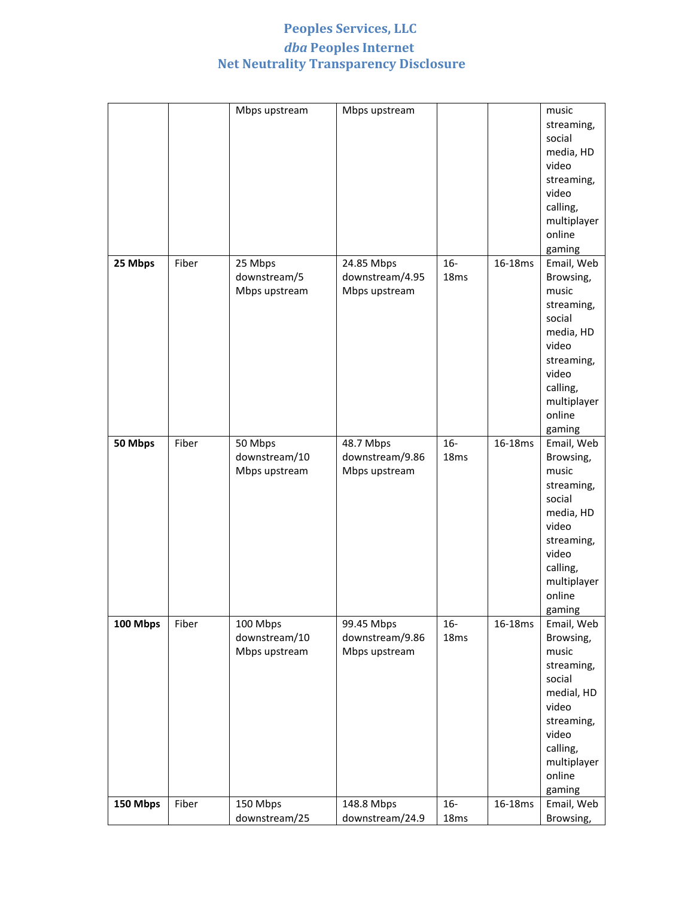| 25 Mbps  | Fiber | Mbps upstream<br>25 Mbps                   | Mbps upstream<br>24.85 Mbps                    | $16-$                     | 16-18ms | music<br>streaming,<br>social<br>media, HD<br>video<br>streaming,<br>video<br>calling,<br>multiplayer<br>online<br>gaming<br>Email, Web               |
|----------|-------|--------------------------------------------|------------------------------------------------|---------------------------|---------|-------------------------------------------------------------------------------------------------------------------------------------------------------|
|          |       | downstream/5<br>Mbps upstream              | downstream/4.95<br>Mbps upstream               | 18 <sub>ms</sub>          |         | Browsing,<br>music<br>streaming,<br>social<br>media, HD<br>video<br>streaming,<br>video<br>calling,<br>multiplayer<br>online<br>gaming                |
| 50 Mbps  | Fiber | 50 Mbps<br>downstream/10<br>Mbps upstream  | 48.7 Mbps<br>downstream/9.86<br>Mbps upstream  | $16-$<br>18 <sub>ms</sub> | 16-18ms | Email, Web<br>Browsing,<br>music<br>streaming,<br>social<br>media, HD<br>video<br>streaming,<br>video<br>calling,<br>multiplayer<br>online<br>gaming  |
| 100 Mbps | Fiber | 100 Mbps<br>downstream/10<br>Mbps upstream | 99.45 Mbps<br>downstream/9.86<br>Mbps upstream | $16-$<br>18 <sub>ms</sub> | 16-18ms | Email, Web<br>Browsing,<br>music<br>streaming,<br>social<br>medial, HD<br>video<br>streaming,<br>video<br>calling,<br>multiplayer<br>online<br>gaming |
| 150 Mbps | Fiber | 150 Mbps<br>downstream/25                  | 148.8 Mbps<br>downstream/24.9                  | $16-$<br>18ms             | 16-18ms | Email, Web<br>Browsing,                                                                                                                               |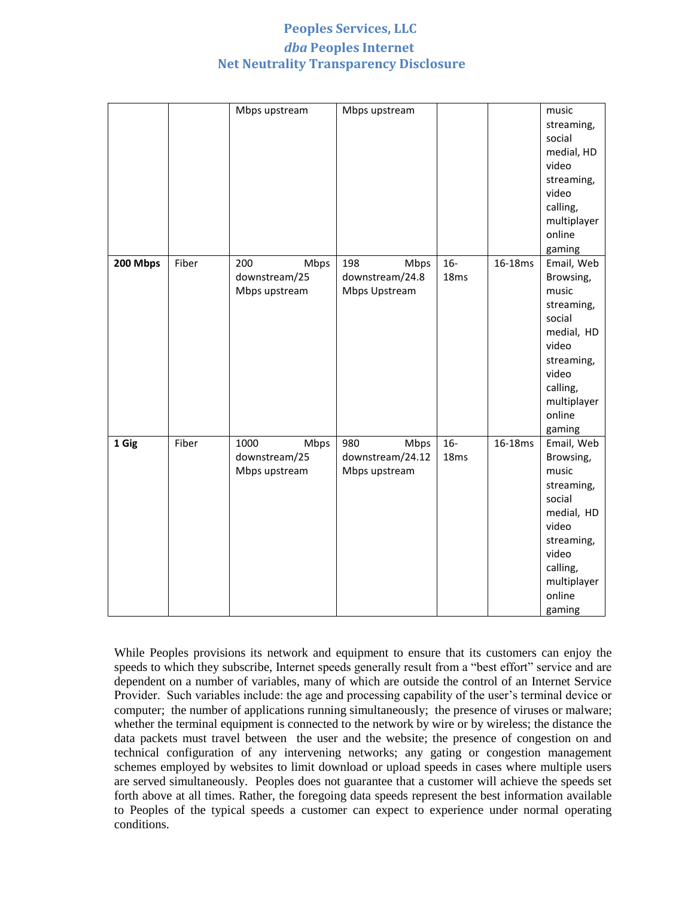|          |       | Mbps upstream                                  | Mbps upstream                                    |                           |         | music<br>streaming,<br>social<br>medial, HD<br>video<br>streaming,<br>video<br>calling,<br>multiplayer<br>online<br>gaming                            |
|----------|-------|------------------------------------------------|--------------------------------------------------|---------------------------|---------|-------------------------------------------------------------------------------------------------------------------------------------------------------|
| 200 Mbps | Fiber | 200<br>Mbps<br>downstream/25<br>Mbps upstream  | 198<br>Mbps<br>downstream/24.8<br>Mbps Upstream  | $16-$<br>18 <sub>ms</sub> | 16-18ms | Email, Web<br>Browsing,<br>music<br>streaming,<br>social<br>medial, HD<br>video<br>streaming,<br>video<br>calling,<br>multiplayer<br>online<br>gaming |
| 1 Gig    | Fiber | 1000<br>Mbps<br>downstream/25<br>Mbps upstream | Mbps<br>980<br>downstream/24.12<br>Mbps upstream | $16-$<br>18 <sub>ms</sub> | 16-18ms | Email, Web<br>Browsing,<br>music<br>streaming,<br>social<br>medial, HD<br>video<br>streaming,<br>video<br>calling,<br>multiplayer<br>online<br>gaming |

While Peoples provisions its network and equipment to ensure that its customers can enjoy the speeds to which they subscribe, Internet speeds generally result from a "best effort" service and are dependent on a number of variables, many of which are outside the control of an Internet Service Provider. Such variables include: the age and processing capability of the user's terminal device or computer; the number of applications running simultaneously; the presence of viruses or malware; whether the terminal equipment is connected to the network by wire or by wireless; the distance the data packets must travel between the user and the website; the presence of congestion on and technical configuration of any intervening networks; any gating or congestion management schemes employed by websites to limit download or upload speeds in cases where multiple users are served simultaneously. Peoples does not guarantee that a customer will achieve the speeds set forth above at all times. Rather, the foregoing data speeds represent the best information available to Peoples of the typical speeds a customer can expect to experience under normal operating conditions.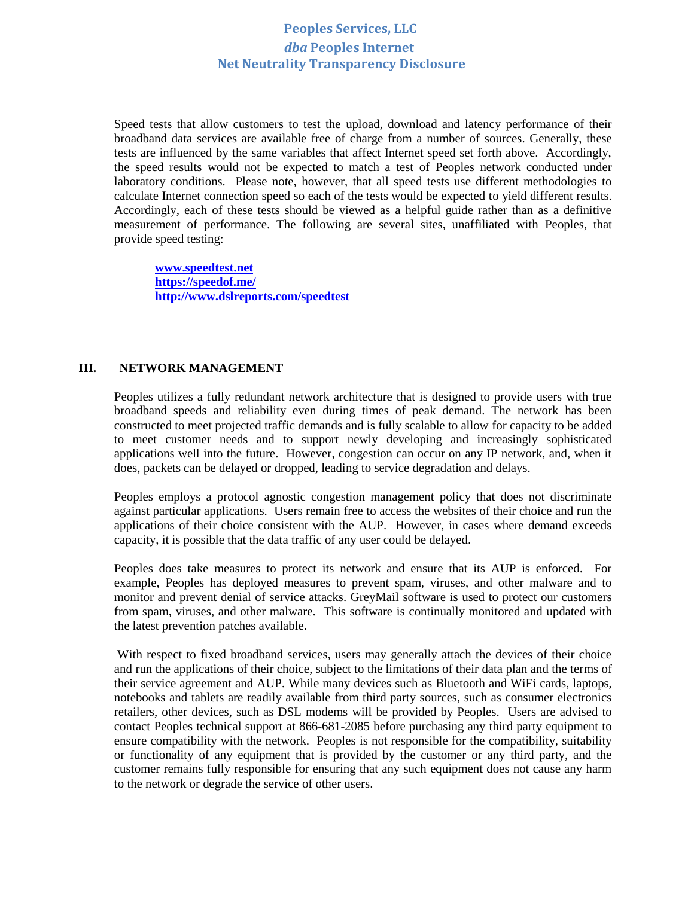Speed tests that allow customers to test the upload, download and latency performance of their broadband data services are available free of charge from a number of sources. Generally, these tests are influenced by the same variables that affect Internet speed set forth above. Accordingly, the speed results would not be expected to match a test of Peoples network conducted under laboratory conditions. Please note, however, that all speed tests use different methodologies to calculate Internet connection speed so each of the tests would be expected to yield different results. Accordingly, each of these tests should be viewed as a helpful guide rather than as a definitive measurement of performance. The following are several sites, unaffiliated with Peoples, that provide speed testing:

**[www.speedtest.net](http://www.speedtest.net/) <https://speedof.me/> http://www.dslreports.com/speedtest**

#### **III. NETWORK MANAGEMENT**

Peoples utilizes a fully redundant network architecture that is designed to provide users with true broadband speeds and reliability even during times of peak demand. The network has been constructed to meet projected traffic demands and is fully scalable to allow for capacity to be added to meet customer needs and to support newly developing and increasingly sophisticated applications well into the future. However, congestion can occur on any IP network, and, when it does, packets can be delayed or dropped, leading to service degradation and delays.

Peoples employs a protocol agnostic congestion management policy that does not discriminate against particular applications. Users remain free to access the websites of their choice and run the applications of their choice consistent with the AUP. However, in cases where demand exceeds capacity, it is possible that the data traffic of any user could be delayed.

Peoples does take measures to protect its network and ensure that its AUP is enforced. For example, Peoples has deployed measures to prevent spam, viruses, and other malware and to monitor and prevent denial of service attacks. GreyMail software is used to protect our customers from spam, viruses, and other malware. This software is continually monitored and updated with the latest prevention patches available.

With respect to fixed broadband services, users may generally attach the devices of their choice and run the applications of their choice, subject to the limitations of their data plan and the terms of their service agreement and AUP. While many devices such as Bluetooth and WiFi cards, laptops, notebooks and tablets are readily available from third party sources, such as consumer electronics retailers, other devices, such as DSL modems will be provided by Peoples. Users are advised to contact Peoples technical support at 866-681-2085 before purchasing any third party equipment to ensure compatibility with the network. Peoples is not responsible for the compatibility, suitability or functionality of any equipment that is provided by the customer or any third party, and the customer remains fully responsible for ensuring that any such equipment does not cause any harm to the network or degrade the service of other users.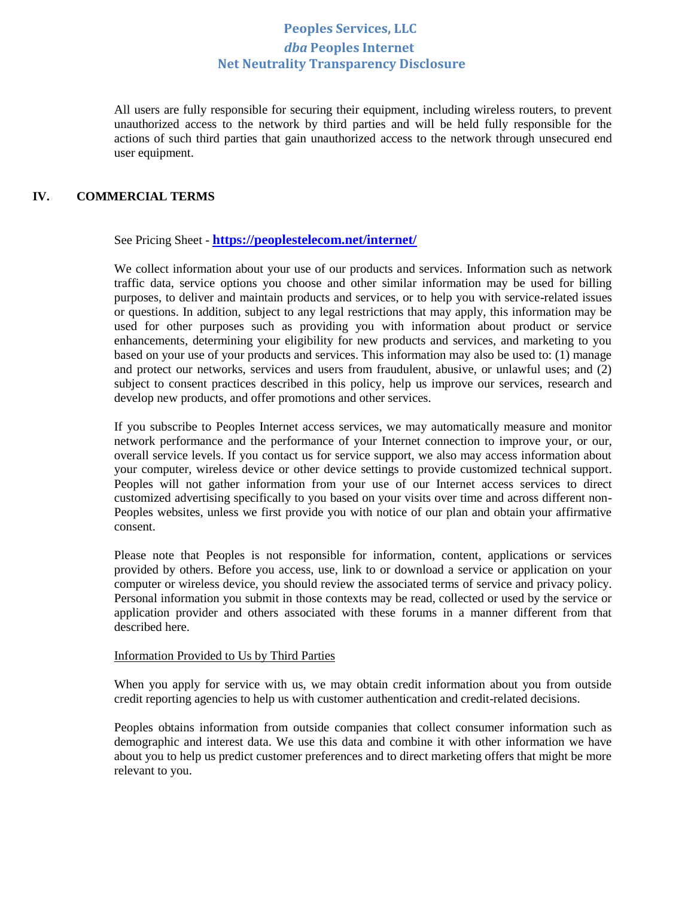All users are fully responsible for securing their equipment, including wireless routers, to prevent unauthorized access to the network by third parties and will be held fully responsible for the actions of such third parties that gain unauthorized access to the network through unsecured end user equipment.

### **IV. COMMERCIAL TERMS**

See Pricing Sheet - **<https://peoplestelecom.net/internet/>**

We collect information about your use of our products and services. Information such as network traffic data, service options you choose and other similar information may be used for billing purposes, to deliver and maintain products and services, or to help you with service-related issues or questions. In addition, subject to any legal restrictions that may apply, this information may be used for other purposes such as providing you with information about product or service enhancements, determining your eligibility for new products and services, and marketing to you based on your use of your products and services. This information may also be used to: (1) manage and protect our networks, services and users from fraudulent, abusive, or unlawful uses; and (2) subject to consent practices described in this policy, help us improve our services, research and develop new products, and offer promotions and other services.

If you subscribe to Peoples Internet access services, we may automatically measure and monitor network performance and the performance of your Internet connection to improve your, or our, overall service levels. If you contact us for service support, we also may access information about your computer, wireless device or other device settings to provide customized technical support. Peoples will not gather information from your use of our Internet access services to direct customized advertising specifically to you based on your visits over time and across different non-Peoples websites, unless we first provide you with notice of our plan and obtain your affirmative consent.

Please note that Peoples is not responsible for information, content, applications or services provided by others. Before you access, use, link to or download a service or application on your computer or wireless device, you should review the associated terms of service and privacy policy. Personal information you submit in those contexts may be read, collected or used by the service or application provider and others associated with these forums in a manner different from that described here.

#### Information Provided to Us by Third Parties

When you apply for service with us, we may obtain credit information about you from outside credit reporting agencies to help us with customer authentication and credit-related decisions.

Peoples obtains information from outside companies that collect consumer information such as demographic and interest data. We use this data and combine it with other information we have about you to help us predict customer preferences and to direct marketing offers that might be more relevant to you.